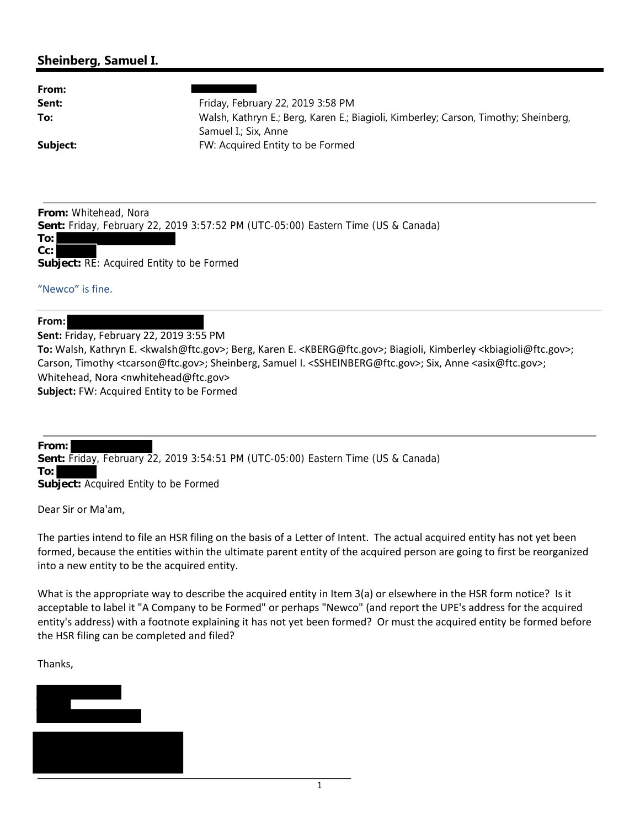## **Sheinberg, Samuel I.**

| From:    |                                                                                     |
|----------|-------------------------------------------------------------------------------------|
| Sent:    | Friday, February 22, 2019 3:58 PM                                                   |
| To:      | Walsh, Kathryn E.; Berg, Karen E.; Biagioli, Kimberley; Carson, Timothy; Sheinberg, |
|          | Samuel I.: Six. Anne                                                                |
| Subject: | FW: Acquired Entity to be Formed                                                    |

**From:** Whitehead, Nora **Sent:** Friday, February 22, 2019 3:57:52 PM (UTC-05:00) Eastern Time (US & Canada) **To:**

## **Cc:**

**Subject:** RE: Acquired Entity to be Formed

## "Newco" is fine.

## **From:**

**Sent:** Friday, February 22, 2019 3:55 PM **To:** Walsh, Kathryn E. <kwalsh@ftc.gov>; Berg, Karen E. <KBERG@ftc.gov>; Biagioli, Kimberley <kbiagioli@ftc.gov>; Carson, Timothy <tcarson@ftc.gov>; Sheinberg, Samuel I. <SSHEINBERG@ftc.gov>; Six, Anne <asix@ftc.gov>; Whitehead, Nora <nwhitehead@ftc.gov> **Subject:** FW: Acquired Entity to be Formed

**From: Sent:** Friday, February 22, 2019 3:54:51 PM (UTC-05:00) Eastern Time (US & Canada) **To: Subject:** Acquired Entity to be Formed

Dear Sir or Ma'am,

The parties intend to file an HSR filing on the basis of a Letter of Intent. The actual acquired entity has not yet been formed, because the entities within the ultimate parent entity of the acquired person are going to first be reorganized into a new entity to be the acquired entity.

What is the appropriate way to describe the acquired entity in Item 3(a) or elsewhere in the HSR form notice? Is it acceptable to label it "A Company to be Formed" or perhaps "Newco" (and report the UPE's address for the acquired entity's address) with a footnote explaining it has not yet been formed? Or must the acquired entity be formed before the HSR filing can be completed and filed?

Thanks,



1